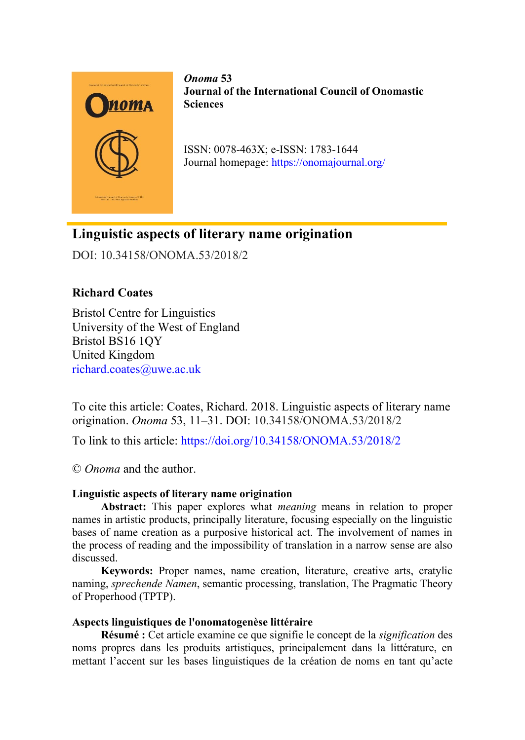

*Onoma* **53 Journal of the International Council of Onomastic Sciences**

ISSN: 0078-463X; e-ISSN: 1783-1644 Journal homepage:<https://onomajournal.org/>

# **Linguistic aspects of literary name origination**

DOI: 10.34158/ONOMA.53/2018/2

# **Richard Coates**

Bristol Centre for Linguistics University of the West of England Bristol BS16 1QY United Kingdom [richard.coates@uwe.ac.uk](mailto:richard.coates@uwe.ac.uk)

To cite this article: Coates, Richard. 2018. Linguistic aspects of literary name origination. *Onoma* 53, 11–31. DOI: 10.34158/ONOMA.53/2018/2

To link to this article:<https://doi.org/10.34158/ONOMA.53/2018/2>

© *Onoma* and the author.

# **Linguistic aspects of literary name origination**

**Abstract:** This paper explores what *meaning* means in relation to proper names in artistic products, principally literature, focusing especially on the linguistic bases of name creation as a purposive historical act. The involvement of names in the process of reading and the impossibility of translation in a narrow sense are also discussed.

**Keywords:** Proper names, name creation, literature, creative arts, cratylic naming, *sprechende Namen*, semantic processing, translation, The Pragmatic Theory of Properhood (TPTP).

# **Aspects linguistiques de l'onomatogenèse littéraire**

**Résumé :** Cet article examine ce que signifie le concept de la *signification* des noms propres dans les produits artistiques, principalement dans la littérature, en mettant l'accent sur les bases linguistiques de la création de noms en tant qu'acte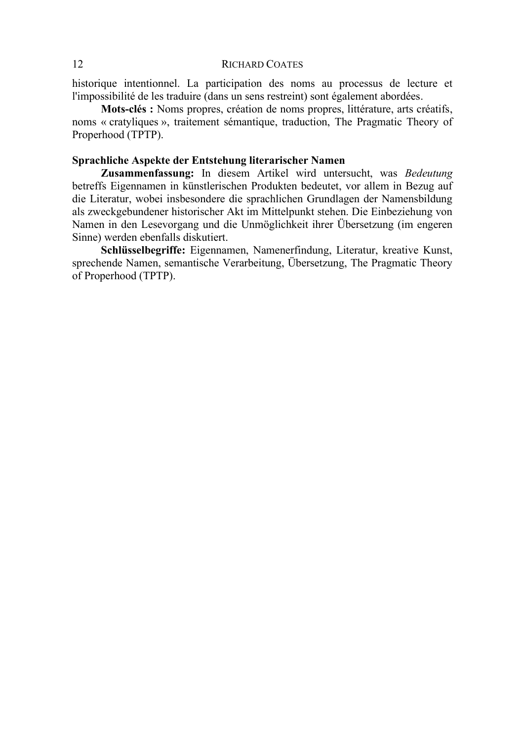historique intentionnel. La participation des noms au processus de lecture et l'impossibilité de les traduire (dans un sens restreint) sont également abordées.

**Mots-clés :** Noms propres, création de noms propres, littérature, arts créatifs, noms « cratyliques », traitement sémantique, traduction, The Pragmatic Theory of Properhood (TPTP).

## **Sprachliche Aspekte der Entstehung literarischer Namen**

**Zusammenfassung:** In diesem Artikel wird untersucht, was *Bedeutung* betreffs Eigennamen in künstlerischen Produkten bedeutet, vor allem in Bezug auf die Literatur, wobei insbesondere die sprachlichen Grundlagen der Namensbildung als zweckgebundener historischer Akt im Mittelpunkt stehen. Die Einbeziehung von Namen in den Lesevorgang und die Unmöglichkeit ihrer Übersetzung (im engeren Sinne) werden ebenfalls diskutiert.

**Schlüsselbegriffe:** Eigennamen, Namenerfindung, Literatur, kreative Kunst, sprechende Namen, semantische Verarbeitung, Übersetzung, The Pragmatic Theory of Properhood (TPTP).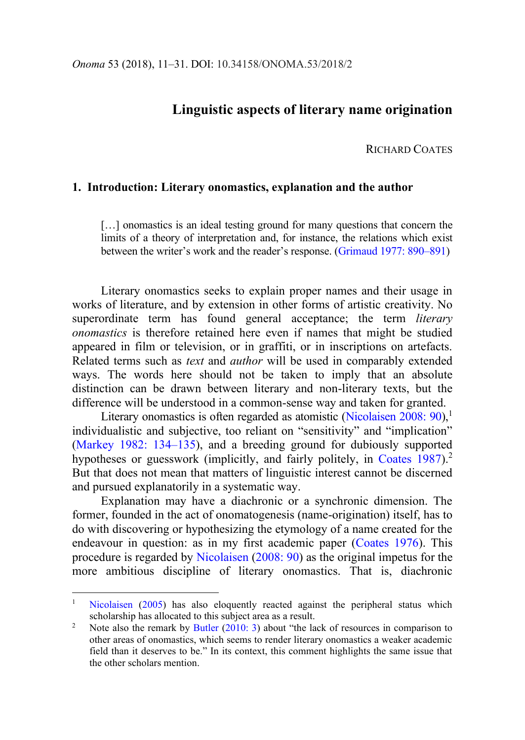# **Linguistic aspects of literary name origination**

RICHARD COATES

# **1. Introduction: Literary onomastics, explanation and the author**

[...] onomastics is an ideal testing ground for many questions that concern the limits of a theory of interpretation and, for instance, the relations which exist between the writer's work and the reader's response. ([Grimaud 1977: 890](#page-19-0)–891)

Literary onomastics seeks to explain proper names and their usage in works of literature, and by extension in other forms of artistic creativity. No superordinate term has found general acceptance; the term *literary onomastics* is therefore retained here even if names that might be studied appeared in film or television, or in graffiti, or in inscriptions on artefacts. Related terms such as *text* and *author* will be used in comparably extended ways. The words here should not be taken to imply that an absolute distinction can be drawn between literary and non-literary texts, but the difference will be understood in a common-sense way and taken for granted.

Literary onomastics is often regarded as atomistic [\(Nicolaisen 2008: 90\)](#page-20-0),<sup>1</sup> individualistic and subjective, too reliant on "sensitivity" and "implication" [\(Markey 1982: 134](#page-19-1)–135), and a breeding ground for dubiously supported hypotheses or guesswork (implicitly, and fairly politely, in [Coates 1987\)](#page-17-0).<sup>2</sup> But that does not mean that matters of linguistic interest cannot be discerned and pursued explanatorily in a systematic way.

Explanation may have a diachronic or a synchronic dimension. The former, founded in the act of onomatogenesis (name-origination) itself, has to do with discovering or hypothesizing the etymology of a name created for the endeavour in question: as in my first academic paper [\(Coates 1976\)](#page-17-1). This procedure is regarded by [Nicolaisen](#page-20-0) [\(2008: 90\)](#page-20-0) as the original impetus for the more ambitious discipline of literary onomastics. That is, diachronic

[Nicolaisen](#page-20-1) [\(2005\)](#page-20-1) has also eloquently reacted against the peripheral status which scholarship has allocated to this subject area as a result.

<sup>&</sup>lt;sup>2</sup> Note also the remark by [Butler](#page-17-2)  $(2010: 3)$  $(2010: 3)$  about "the lack of resources in comparison to other areas of onomastics, which seems to render literary onomastics a weaker academic field than it deserves to be." In its context, this comment highlights the same issue that the other scholars mention.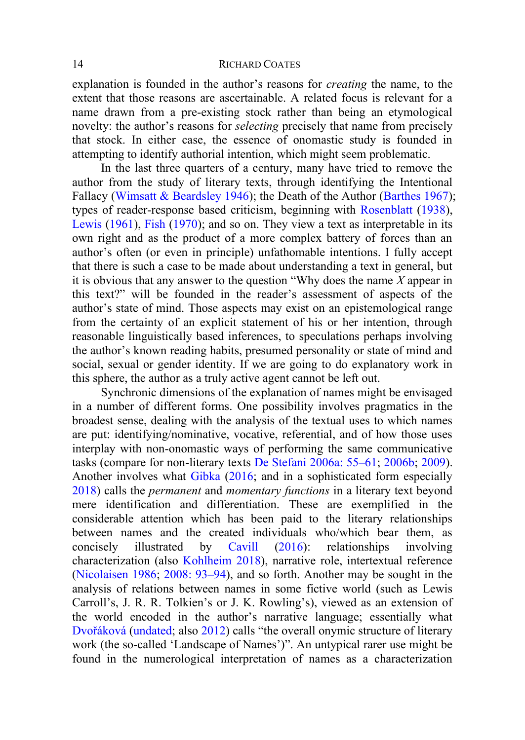explanation is founded in the author's reasons for *creating* the name, to the extent that those reasons are ascertainable. A related focus is relevant for a name drawn from a pre-existing stock rather than being an etymological novelty: the author's reasons for *selecting* precisely that name from precisely that stock. In either case, the essence of onomastic study is founded in attempting to identify authorial intention, which might seem problematic.

In the last three quarters of a century, many have tried to remove the author from the study of literary texts, through identifying the Intentional Fallacy (Wimsatt & [Beardsley 1946\)](#page-20-2); the Death of the Author [\(Barthes 1967\)](#page-17-3); types of reader-response based criticism, beginning with [Rosenblatt](#page-20-3) [\(1938\)](#page-20-3), [Lewis](#page-19-2) [\(1961\)](#page-19-2), [Fish](#page-18-0) [\(1970\)](#page-18-0); and so on. They view a text as interpretable in its own right and as the product of a more complex battery of forces than an author's often (or even in principle) unfathomable intentions. I fully accept that there is such a case to be made about understanding a text in general, but it is obvious that any answer to the question "Why does the name *X* appear in this text?" will be founded in the reader's assessment of aspects of the author's state of mind. Those aspects may exist on an epistemological range from the certainty of an explicit statement of his or her intention, through reasonable linguistically based inferences, to speculations perhaps involving the author's known reading habits, presumed personality or state of mind and social, sexual or gender identity. If we are going to do explanatory work in this sphere, the author as a truly active agent cannot be left out.

Synchronic dimensions of the explanation of names might be envisaged in a number of different forms. One possibility involves pragmatics in the broadest sense, dealing with the analysis of the textual uses to which names are put: identifying/nominative, vocative, referential, and of how those uses interplay with non-onomastic ways of performing the same communicative tasks (compare for non-literary texts [De Stefani 2006a: 55](#page-18-1)–61; [2006b;](#page-18-2) [2009\)](#page-18-3). Another involves what [Gibka](#page-18-4) [\(2016;](#page-18-4) and in a sophisticated form especially [2018\)](#page-19-3) calls the *permanent* and *momentary functions* in a literary text beyond mere identification and differentiation. These are exemplified in the considerable attention which has been paid to the literary relationships between names and the created individuals who/which bear them, as concisely illustrated by [Cavill](#page-17-4) [\(2016\)](#page-17-4): relationships involving characterization (also [Kohlheim](#page-19-4) 2018), narrative role, intertextual reference [\(Nicolaisen 1986;](#page-20-4) [2008: 93](#page-20-0)–94), and so forth. Another may be sought in the analysis of relations between names in some fictive world (such as Lewis Carroll's, J. R. R. Tolkien's or J. K. Rowling's), viewed as an extension of the world encoded in the author's narrative language; essentially what [Dvořáková](#page-18-5) [\(undated;](#page-18-5) also [2012](#page-18-6)) calls "the overall onymic structure of literary work (the so-called 'Landscape of Names')". An untypical rarer use might be found in the numerological interpretation of names as a characterization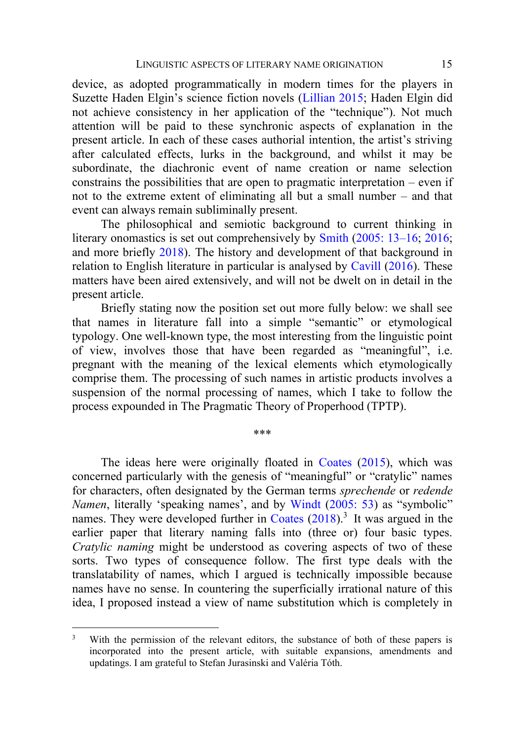device, as adopted programmatically in modern times for the players in Suzette Haden Elgin's science fiction novels ([Lillian 2015;](#page-19-5) Haden Elgin did not achieve consistency in her application of the "technique"). Not much attention will be paid to these synchronic aspects of explanation in the present article. In each of these cases authorial intention, the artist's striving after calculated effects, lurks in the background, and whilst it may be subordinate, the diachronic event of name creation or name selection constrains the possibilities that are open to pragmatic interpretation – even if not to the extreme extent of eliminating all but a small number – and that event can always remain subliminally present.

The philosophical and semiotic background to current thinking in literary onomastics is set out comprehensively by [Smith](#page-20-5) [\(2005: 13](#page-20-5)–16; [2016;](#page-20-6) and more briefly [2018\)](#page-20-7). The history and development of that background in relation to English literature in particular is analysed by [Cavill](#page-17-4) [\(2016\)](#page-17-4). These matters have been aired extensively, and will not be dwelt on in detail in the present article.

Briefly stating now the position set out more fully below: we shall see that names in literature fall into a simple "semantic" or etymological typology. One well-known type, the most interesting from the linguistic point of view, involves those that have been regarded as "meaningful", i.e. pregnant with the meaning of the lexical elements which etymologically comprise them. The processing of such names in artistic products involves a suspension of the normal processing of names, which I take to follow the process expounded in The Pragmatic Theory of Properhood (TPTP).

\*\*\*

The ideas here were originally floated in [Coates](#page-18-7) [\(2015\)](#page-18-7), which was concerned particularly with the genesis of "meaningful" or "cratylic" names for characters, often designated by the German terms *sprechende* or *redende Namen*, literally 'speaking names', and by [Windt](#page-20-8) [\(2005: 53](#page-20-8)) as "symbolic" names. They were developed further in [Coates](#page-18-8)  $(2018)^3$  $(2018)^3$  It was argued in the earlier paper that literary naming falls into (three or) four basic types. *Cratylic naming* might be understood as covering aspects of two of these sorts. Two types of consequence follow. The first type deals with the translatability of names, which I argued is technically impossible because names have no sense. In countering the superficially irrational nature of this idea, I proposed instead a view of name substitution which is completely in

<sup>&</sup>lt;sup>3</sup> With the permission of the relevant editors, the substance of both of these papers is incorporated into the present article, with suitable expansions, amendments and updatings. I am grateful to Stefan Jurasinski and Valéria Tóth.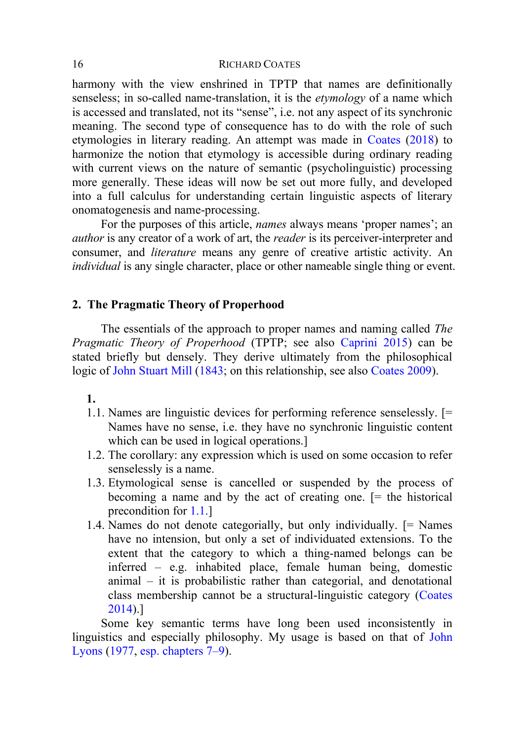harmony with the view enshrined in TPTP that names are definitionally senseless; in so-called name-translation, it is the *etymology* of a name which is accessed and translated, not its "sense", i.e. not any aspect of its synchronic meaning. The second type of consequence has to do with the role of such etymologies in literary reading. An attempt was made in [Coates](#page-18-8) [\(2018\)](#page-18-8) to harmonize the notion that etymology is accessible during ordinary reading with current views on the nature of semantic (psycholinguistic) processing more generally. These ideas will now be set out more fully, and developed into a full calculus for understanding certain linguistic aspects of literary onomatogenesis and name-processing.

For the purposes of this article, *names* always means 'proper names'; an *author* is any creator of a work of art, the *reader* is its perceiver-interpreter and consumer, and *literature* means any genre of creative artistic activity. An *individual* is any single character, place or other nameable single thing or event.

# **2. The Pragmatic Theory of Properhood**

The essentials of the approach to proper names and naming called *The Pragmatic Theory of Properhood* (TPTP; see also [Caprini 2015\)](#page-17-5) can be stated briefly but densely. They derive ultimately from the philosophical logic of [John Stuart Mill](#page-19-6) [\(1843;](#page-19-6) on this relationship, see also [Coates 2009\)](#page-17-6).

#### **1.**

- <span id="page-5-0"></span>1.1. Names are linguistic devices for performing reference senselessly. [= Names have no sense, i.e. they have no synchronic linguistic content which can be used in logical operations.]
- 1.2. The corollary: any expression which is used on some occasion to refer senselessly is a name.
- 1.3. Etymological sense is cancelled or suspended by the process of becoming a name and by the act of creating one. [= the historical precondition for [1.1.\]](#page-5-0)
- 1.4. Names do not denote categorially, but only individually. [= Names have no intension, but only a set of individuated extensions. To the extent that the category to which a thing-named belongs can be inferred – e.g. inhabited place, female human being, domestic animal – it is probabilistic rather than categorial, and denotational class membership cannot be a structural-linguistic category [\(Coates](#page-17-7)  [2014\)](#page-17-7).]

Some key semantic terms have long been used inconsistently in linguistics and especially philosophy. My usage is based on that of [John](#page-19-7)  [Lyons](#page-19-7) [\(1977,](#page-19-7) [esp. chapters 7](#page-19-7)–9).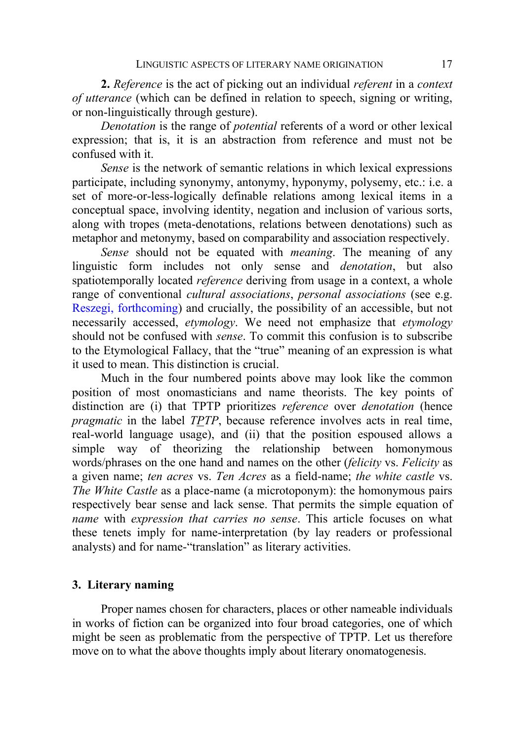**2.** *Reference* is the act of picking out an individual *referent* in a *context of utterance* (which can be defined in relation to speech, signing or writing, or non-linguistically through gesture).

*Denotation* is the range of *potential* referents of a word or other lexical expression; that is, it is an abstraction from reference and must not be confused with it.

*Sense* is the network of semantic relations in which lexical expressions participate, including synonymy, antonymy, hyponymy, polysemy, etc.: i.e. a set of more-or-less-logically definable relations among lexical items in a conceptual space, involving identity, negation and inclusion of various sorts, along with tropes (meta-denotations, relations between denotations) such as metaphor and metonymy, based on comparability and association respectively.

*Sense* should not be equated with *meaning*. The meaning of any linguistic form includes not only sense and *denotation*, but also spatiotemporally located *reference* deriving from usage in a context, a whole range of conventional *cultural associations*, *personal associations* (see e.g. [Reszegi, forthcoming\)](#page-20-9) and crucially, the possibility of an accessible, but not necessarily accessed, *etymology*. We need not emphasize that *etymology* should not be confused with *sense*. To commit this confusion is to subscribe to the Etymological Fallacy, that the "true" meaning of an expression is what it used to mean. This distinction is crucial.

Much in the four numbered points above may look like the common position of most onomasticians and name theorists. The key points of distinction are (i) that TPTP prioritizes *reference* over *denotation* (hence *pragmatic* in the label *TPTP*, because reference involves acts in real time, real-world language usage), and (ii) that the position espoused allows a simple way of theorizing the relationship between homonymous words/phrases on the one hand and names on the other (*felicity* vs. *Felicity* as a given name; *ten acres* vs. *Ten Acres* as a field-name; *the white castle* vs. *The White Castle* as a place-name (a microtoponym): the homonymous pairs respectively bear sense and lack sense. That permits the simple equation of *name* with *expression that carries no sense*. This article focuses on what these tenets imply for name-interpretation (by lay readers or professional analysts) and for name-"translation" as literary activities.

## **3. Literary naming**

Proper names chosen for characters, places or other nameable individuals in works of fiction can be organized into four broad categories, one of which might be seen as problematic from the perspective of TPTP. Let us therefore move on to what the above thoughts imply about literary onomatogenesis.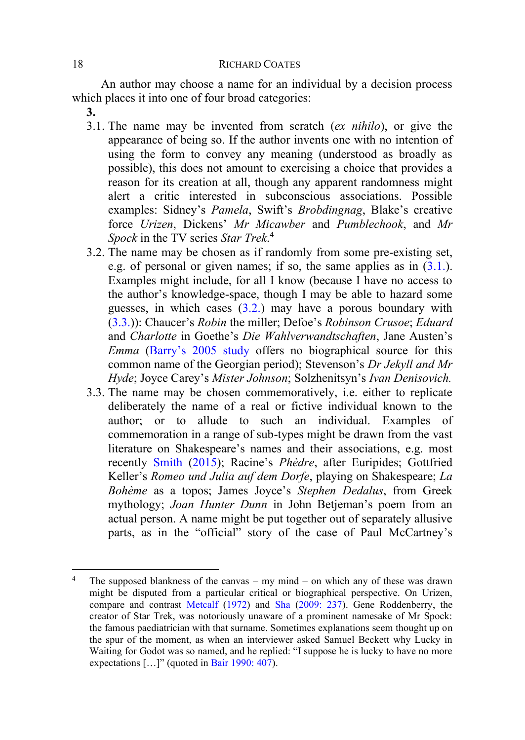An author may choose a name for an individual by a decision process which places it into one of four broad categories:

- **3.**
- <span id="page-7-0"></span>3.1. The name may be invented from scratch (*ex nihilo*), or give the appearance of being so. If the author invents one with no intention of using the form to convey any meaning (understood as broadly as possible), this does not amount to exercising a choice that provides a reason for its creation at all, though any apparent randomness might alert a critic interested in subconscious associations. Possible examples: Sidney's *Pamela*, Swift's *Brobdingnag*, Blake's creative force *Urizen*, Dickens' *Mr Micawber* and *Pumblechook*, and *Mr Spock* in the TV series *Star Trek*. 4
- <span id="page-7-1"></span>3.2. The name may be chosen as if randomly from some pre-existing set, e.g. of personal or given names; if so, the same applies as in  $(3.1.)$ . Examples might include, for all I know (because I have no access to the author's knowledge-space, though I may be able to hazard some guesses, in which cases  $(3.2)$  may have a porous boundary with [\(3.3.](#page-7-2))): Chaucer's *Robin* the miller; Defoe's *Robinson Crusoe*; *Eduard* and *Charlotte* in Goethe's *Die Wahlverwandtschaften*, Jane Austen's *Emma* ([Barry's 2005 study](#page-17-8) offers no biographical source for this common name of the Georgian period); Stevenson's *Dr Jekyll and Mr Hyde*; Joyce Carey's *Mister Johnson*; Solzhenitsyn's *Ivan Denisovich.*
- <span id="page-7-2"></span>3.3. The name may be chosen commemoratively, i.e. either to replicate deliberately the name of a real or fictive individual known to the author; or to allude to such an individual. Examples of commemoration in a range of sub-types might be drawn from the vast literature on Shakespeare's names and their associations, e.g. most recently [Smith](#page-20-10) [\(2015](#page-20-10)); Racine's *Phèdre*, after Euripides; Gottfried Keller's *Romeo und Julia auf dem Dorfe*, playing on Shakespeare; *La Bohème* as a topos; James Joyce's *Stephen Dedalus*, from Greek mythology; *Joan Hunter Dunn* in John Betjeman's poem from an actual person. A name might be put together out of separately allusive parts, as in the "official" story of the case of Paul McCartney's

<sup>&</sup>lt;sup>4</sup> The supposed blankness of the canvas – my mind – on which any of these was drawn might be disputed from a particular critical or biographical perspective. On Urizen, compare and contrast [Metcalf](#page-19-8) [\(1972\)](#page-19-8) and [Sha](#page-20-11) [\(2009: 237\)](#page-20-11). Gene Roddenberry, the creator of Star Trek, was notoriously unaware of a prominent namesake of Mr Spock: the famous paediatrician with that surname. Sometimes explanations seem thought up on the spur of the moment, as when an interviewer asked Samuel Beckett why Lucky in Waiting for Godot was so named, and he replied: "I suppose he is lucky to have no more expectations […]" (quoted in [Bair 1990: 407\)](#page-17-9).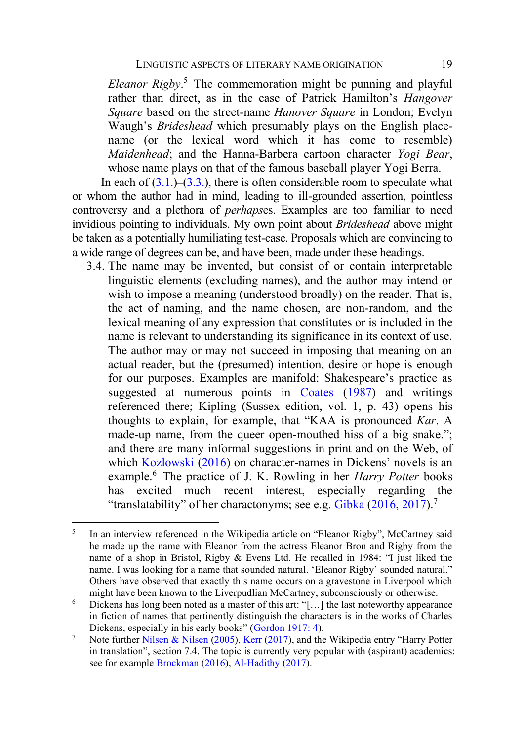*Eleanor Rigby*. <sup>5</sup> The commemoration might be punning and playful rather than direct, as in the case of Patrick Hamilton's *Hangover Square* based on the street-name *Hanover Square* in London; Evelyn Waugh's *Brideshead* which presumably plays on the English placename (or the lexical word which it has come to resemble) *Maidenhead*; and the Hanna-Barbera cartoon character *Yogi Bear*, whose name plays on that of the famous baseball player Yogi Berra.

In each of  $(3.1.)$ – $(3.3.)$ , there is often considerable room to speculate what or whom the author had in mind, leading to ill-grounded assertion, pointless controversy and a plethora of *perhaps*es. Examples are too familiar to need invidious pointing to individuals. My own point about *Brideshead* above might be taken as a potentially humiliating test-case. Proposals which are convincing to a wide range of degrees can be, and have been, made under these headings.

<span id="page-8-0"></span>3.4. The name may be invented, but consist of or contain interpretable linguistic elements (excluding names), and the author may intend or wish to impose a meaning (understood broadly) on the reader. That is, the act of naming, and the name chosen, are non-random, and the lexical meaning of any expression that constitutes or is included in the name is relevant to understanding its significance in its context of use. The author may or may not succeed in imposing that meaning on an actual reader, but the (presumed) intention, desire or hope is enough for our purposes. Examples are manifold: Shakespeare's practice as suggested at numerous points in [Coates](#page-17-0) [\(1987\)](#page-17-0) and writings referenced there; Kipling (Sussex edition, vol. 1, p. 43) opens his thoughts to explain, for example, that "KAA is pronounced *Kar*. A made-up name, from the queer open-mouthed hiss of a big snake."; and there are many informal suggestions in print and on the Web, of which [Kozlowski](#page-19-9) [\(2016\)](#page-19-9) on character-names in Dickens' novels is an example.<sup>6</sup> The practice of J. K. Rowling in her *Harry Potter* books has excited much recent interest, especially regarding the "translatability" of her charactonyms; see e.g. [Gibka](#page-18-4) [\(2016,](#page-18-4) [2017\)](#page-18-9).<sup>7</sup>

<sup>5</sup> In an interview referenced in the Wikipedia article on "Eleanor Rigby", McCartney said he made up the name with Eleanor from the actress Eleanor Bron and Rigby from the name of a shop in Bristol, Rigby & Evens Ltd. He recalled in 1984: "I just liked the name. I was looking for a name that sounded natural. 'Eleanor Rigby' sounded natural." Others have observed that exactly this name occurs on a gravestone in Liverpool which might have been known to the Liverpudlian McCartney, subconsciously or otherwise.

<sup>&</sup>lt;sup>6</sup> Dickens has long been noted as a master of this art: "[...] the last noteworthy appearance in fiction of names that pertinently distinguish the characters is in the works of Charles Dickens, especially in his early books" ([Gordon 1917: 4\)](#page-19-10).

<sup>7</sup> Note furthe[r Nilsen & Nilsen](#page-20-12) [\(2005\)](#page-20-12), [Kerr](#page-19-11) [\(2017](#page-19-11)), and the Wikipedia entry "Harry Potter in translation", section 7.4. The topic is currently very popular with (aspirant) academics: see for exampl[e Brockman](#page-17-10) [\(2016\)](#page-17-10)[, Al-Hadithy](#page-17-11) [\(2017\)](#page-17-11).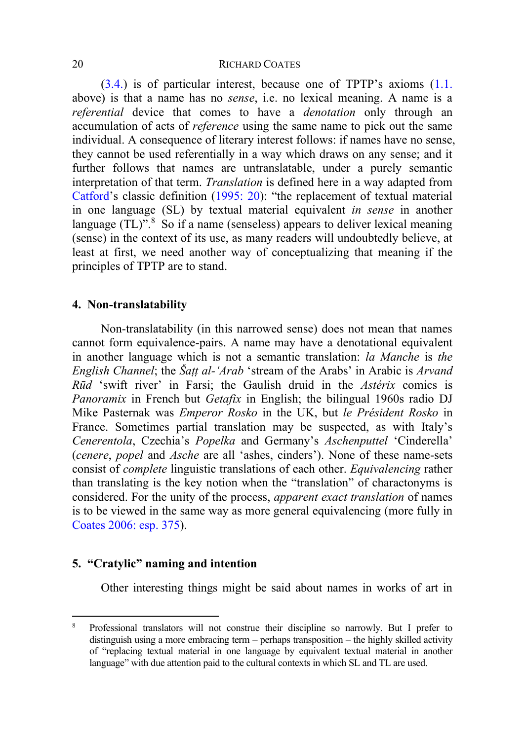[\(3.4.](#page-8-0)) is of particular interest, because one of TPTP's axioms ([1.1.](#page-5-0) above) is that a name has no *sense*, i.e. no lexical meaning. A name is a *referential* device that comes to have a *denotation* only through an accumulation of acts of *reference* using the same name to pick out the same individual. A consequence of literary interest follows: if names have no sense, they cannot be used referentially in a way which draws on any sense; and it further follows that names are untranslatable, under a purely semantic interpretation of that term. *Translation* is defined here in a way adapted from [Catford](#page-17-12)'s classic definition ([1995: 20](#page-17-12)): "the replacement of textual material in one language (SL) by textual material equivalent *in sense* in another language  $(TL)$ <sup>".8</sup> So if a name (senseless) appears to deliver lexical meaning (sense) in the context of its use, as many readers will undoubtedly believe, at least at first, we need another way of conceptualizing that meaning if the principles of TPTP are to stand.

# **4. Non-translatability**

Non-translatability (in this narrowed sense) does not mean that names cannot form equivalence-pairs. A name may have a denotational equivalent in another language which is not a semantic translation: *la Manche* is *the English Channel*; the *Šaṭṭ al-'Arab* 'stream of the Arabs' in Arabic is *Arvand Rūd* 'swift river' in Farsi; the Gaulish druid in the *Astérix* comics is *Panoramix* in French but *Getafix* in English; the bilingual 1960s radio DJ Mike Pasternak was *Emperor Rosko* in the UK, but *le Président Rosko* in France. Sometimes partial translation may be suspected, as with Italy's *Cenerentola*, Czechia's *Popelka* and Germany's *Aschenputtel* 'Cinderella' (*cenere*, *popel* and *Asche* are all 'ashes, cinders'). None of these name-sets consist of *complete* linguistic translations of each other. *Equivalencing* rather than translating is the key notion when the "translation" of charactonyms is considered. For the unity of the process, *apparent exact translation* of names is to be viewed in the same way as more general equivalencing (more fully in [Coates 2006: esp. 375\)](#page-17-13).

# **5. "Cratylic" naming and intention**

Other interesting things might be said about names in works of art in

<sup>8</sup> Professional translators will not construe their discipline so narrowly. But I prefer to distinguish using a more embracing term – perhaps transposition – the highly skilled activity of "replacing textual material in one language by equivalent textual material in another language" with due attention paid to the cultural contexts in which SL and TL are used.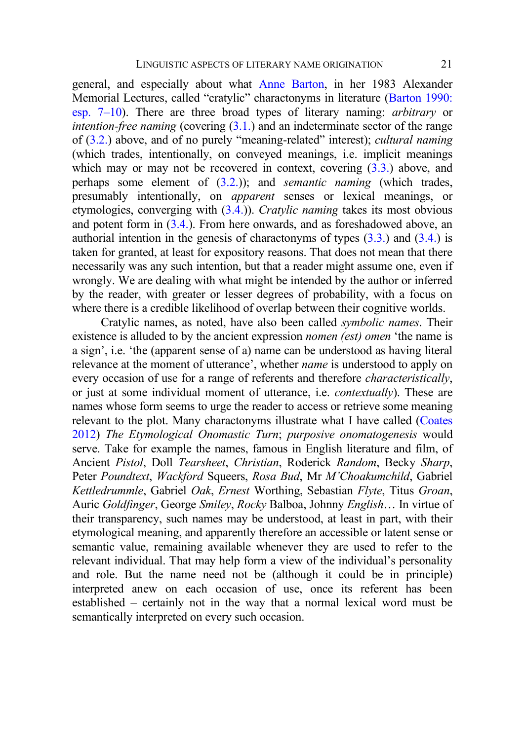general, and especially about what [Anne Barton,](#page-17-14) in her 1983 Alexander Memorial Lectures, called "cratylic" charactonyms in literature ([Barton 1990:](#page-17-14)  [esp. 7‒10](#page-17-14)). There are three broad types of literary naming: *arbitrary* or *intention-free naming* (covering [\(3.1.\)](#page-7-0) and an indeterminate sector of the range of [\(3.2.](#page-7-1)) above, and of no purely "meaning-related" interest); *cultural naming* (which trades, intentionally, on conveyed meanings, i.e. implicit meanings which may or may not be recovered in context, covering  $(3.3)$  above, and perhaps some element of [\(3.2.\)](#page-7-1)); and *semantic naming* (which trades, presumably intentionally, on *apparent* senses or lexical meanings, or etymologies, converging with [\(3.4.\)](#page-8-0)). *Cratylic naming* takes its most obvious and potent form in  $(3.4)$ . From here onwards, and as foreshadowed above, an authorial intention in the genesis of charactonyms of types [\(3.3.\)](#page-7-2) and [\(3.4.\)](#page-8-0) is taken for granted, at least for expository reasons. That does not mean that there necessarily was any such intention, but that a reader might assume one, even if wrongly. We are dealing with what might be intended by the author or inferred by the reader, with greater or lesser degrees of probability, with a focus on where there is a credible likelihood of overlap between their cognitive worlds.

Cratylic names, as noted, have also been called *symbolic names*. Their existence is alluded to by the ancient expression *nomen (est) omen* 'the name is a sign', i.e. 'the (apparent sense of a) name can be understood as having literal relevance at the moment of utterance', whether *name* is understood to apply on every occasion of use for a range of referents and therefore *characteristically*, or just at some individual moment of utterance, i.e. *contextually*). These are names whose form seems to urge the reader to access or retrieve some meaning relevant to the plot. Many charactonyms illustrate what I have called [\(Coates](#page-17-15)  [2012\)](#page-17-15) *The Etymological Onomastic Turn*; *purposive onomatogenesis* would serve. Take for example the names, famous in English literature and film, of Ancient *Pistol*, Doll *Tearsheet*, *Christian*, Roderick *Random*, Becky *Sharp*, Peter *Poundtext*, *Wackford* Squeers, *Rosa Bud*, Mr *M'Choakumchild*, Gabriel *Kettledrummle*, Gabriel *Oak*, *Ernest* Worthing, Sebastian *Flyte*, Titus *Groan*, Auric *Goldfinger*, George *Smiley*, *Rocky* Balboa, Johnny *English*… In virtue of their transparency, such names may be understood, at least in part, with their etymological meaning, and apparently therefore an accessible or latent sense or semantic value, remaining available whenever they are used to refer to the relevant individual. That may help form a view of the individual's personality and role. But the name need not be (although it could be in principle) interpreted anew on each occasion of use, once its referent has been established – certainly not in the way that a normal lexical word must be semantically interpreted on every such occasion.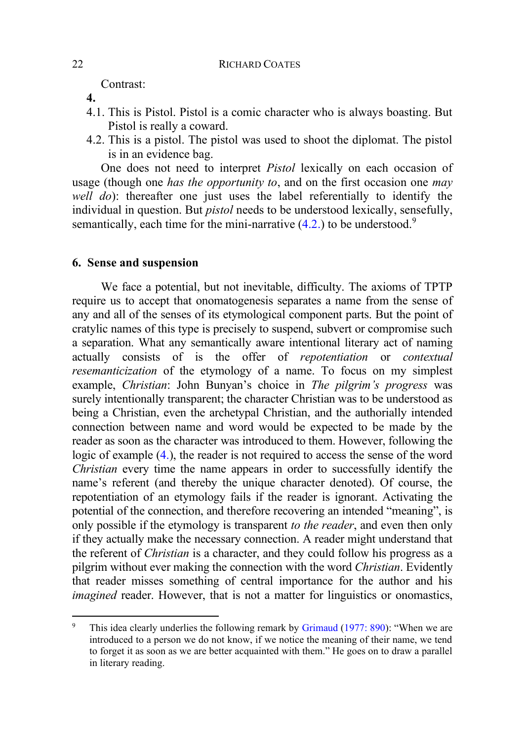Contrast:

- <span id="page-11-1"></span>**4.**
- 4.1. This is Pistol. Pistol is a comic character who is always boasting. But Pistol is really a coward.
- <span id="page-11-0"></span>4.2. This is a pistol. The pistol was used to shoot the diplomat. The pistol is in an evidence bag.

One does not need to interpret *Pistol* lexically on each occasion of usage (though one *has the opportunity to*, and on the first occasion one *may well do*): thereafter one just uses the label referentially to identify the individual in question. But *pistol* needs to be understood lexically, sensefully, semantically, each time for the mini-narrative  $(4.2.)$  to be understood.<sup>9</sup>

# **6. Sense and suspension**

We face a potential, but not inevitable, difficulty. The axioms of TPTP require us to accept that onomatogenesis separates a name from the sense of any and all of the senses of its etymological component parts. But the point of cratylic names of this type is precisely to suspend, subvert or compromise such a separation. What any semantically aware intentional literary act of naming actually consists of is the offer of *repotentiation* or *contextual resemanticization* of the etymology of a name. To focus on my simplest example, *Christian*: John Bunyan's choice in *The pilgrim's progress* was surely intentionally transparent; the character Christian was to be understood as being a Christian, even the archetypal Christian, and the authorially intended connection between name and word would be expected to be made by the reader as soon as the character was introduced to them. However, following the logic of example [\(4.\)](#page-11-1), the reader is not required to access the sense of the word *Christian* every time the name appears in order to successfully identify the name's referent (and thereby the unique character denoted). Of course, the repotentiation of an etymology fails if the reader is ignorant. Activating the potential of the connection, and therefore recovering an intended "meaning", is only possible if the etymology is transparent *to the reader*, and even then only if they actually make the necessary connection. A reader might understand that the referent of *Christian* is a character, and they could follow his progress as a pilgrim without ever making the connection with the word *Christian*. Evidently that reader misses something of central importance for the author and his *imagined* reader. However, that is not a matter for linguistics or onomastics,

<sup>&</sup>lt;sup>9</sup> This idea clearly underlies the following remark by [Grimaud](#page-19-0) [\(1977: 890](#page-19-0)): "When we are introduced to a person we do not know, if we notice the meaning of their name, we tend to forget it as soon as we are better acquainted with them." He goes on to draw a parallel in literary reading.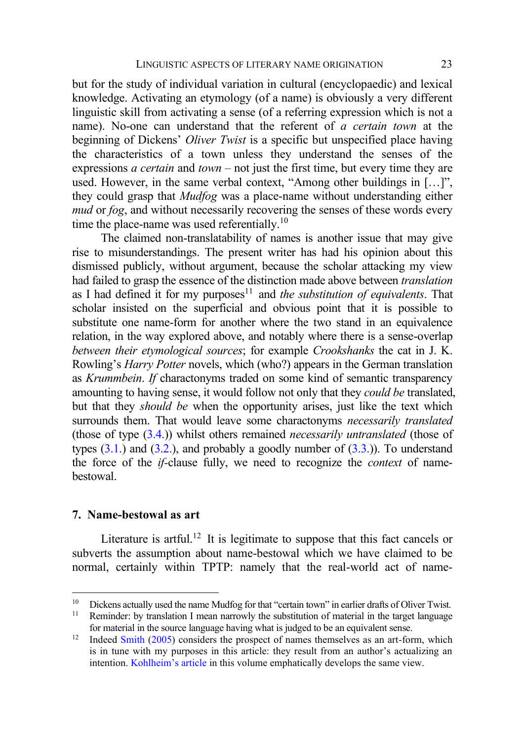but for the study of individual variation in cultural (encyclopaedic) and lexical knowledge. Activating an etymology (of a name) is obviously a very different linguistic skill from activating a sense (of a referring expression which is not a name). No-one can understand that the referent of *a certain town* at the beginning of Dickens' *Oliver Twist* is a specific but unspecified place having the characteristics of a town unless they understand the senses of the expressions *a certain* and *town* – not just the first time, but every time they are used. However, in the same verbal context, "Among other buildings in [...]", they could grasp that *Mudfog* was a place-name without understanding either *mud* or *fog*, and without necessarily recovering the senses of these words every time the place-name was used referentially.<sup>10</sup>

The claimed non-translatability of names is another issue that may give rise to misunderstandings. The present writer has had his opinion about this dismissed publicly, without argument, because the scholar attacking my view had failed to grasp the essence of the distinction made above between *translation* as I had defined it for my purposes<sup>11</sup> and *the substitution of equivalents*. That scholar insisted on the superficial and obvious point that it is possible to substitute one name-form for another where the two stand in an equivalence relation, in the way explored above, and notably where there is a sense-overlap *between their etymological sources*; for example *Crookshanks* the cat in J. K. Rowling's *Harry Potter* novels, which (who?) appears in the German translation as *Krummbein*. *If* charactonyms traded on some kind of semantic transparency amounting to having sense, it would follow not only that they *could be* translated, but that they *should be* when the opportunity arises, just like the text which surrounds them. That would leave some charactonyms *necessarily translated* (those of type [\(3.4.\)](#page-8-0)) whilst others remained *necessarily untranslated* (those of types  $(3.1.)$  and  $(3.2.)$ , and probably a goodly number of  $(3.3.)$ ). To understand the force of the *if-*clause fully, we need to recognize the *context* of namebestowal.

# **7. Name-bestowal as art**

Literature is artful.<sup>12</sup> It is legitimate to suppose that this fact cancels or subverts the assumption about name-bestowal which we have claimed to be normal, certainly within TPTP: namely that the real-world act of name-

<sup>&</sup>lt;sup>10</sup> Dickens actually used the name Mudfog for that "certain town" in earlier drafts of Oliver Twist.<br><sup>11</sup> Peminder: by translation I mean narrowly the substitution of material in the target language

Reminder: by translation I mean narrowly the substitution of material in the target language for material in the source language having what is judged to be an equivalent sense.

<sup>&</sup>lt;sup>12</sup> Indeed [Smith](#page-20-5) [\(2005\)](#page-20-5) considers the prospect of names themselves as an art-form, which is in tune with my purposes in this article: they result from an author's actualizing an intention. [Kohlheim's article](#page-19-4) in this volume emphatically develops the same view.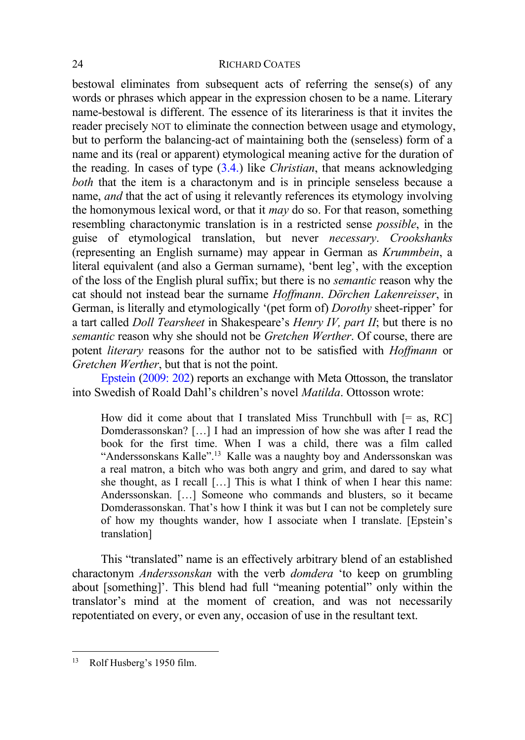bestowal eliminates from subsequent acts of referring the sense(s) of any words or phrases which appear in the expression chosen to be a name. Literary name-bestowal is different. The essence of its literariness is that it invites the reader precisely NOT to eliminate the connection between usage and etymology, but to perform the balancing-act of maintaining both the (senseless) form of a name and its (real or apparent) etymological meaning active for the duration of the reading. In cases of type [\(3.4.\)](#page-8-0) like *Christian*, that means acknowledging *both* that the item is a charactonym and is in principle senseless because a name, *and* that the act of using it relevantly references its etymology involving the homonymous lexical word, or that it *may* do so. For that reason, something resembling charactonymic translation is in a restricted sense *possible*, in the guise of etymological translation, but never *necessary*. *Crookshanks* (representing an English surname) may appear in German as *Krummbein*, a literal equivalent (and also a German surname), 'bent leg', with the exception of the loss of the English plural suffix; but there is no *semantic* reason why the cat should not instead bear the surname *Hoffmann*. *Dörchen Lakenreisser*, in German, is literally and etymologically '(pet form of) *Dorothy* sheet-ripper' for a tart called *Doll Tearsheet* in Shakespeare's *Henry IV, part II*; but there is no *semantic* reason why she should not be *Gretchen Werther*. Of course, there are potent *literary* reasons for the author not to be satisfied with *Hoffmann* or *Gretchen Werther*, but that is not the point.

[Epstein](#page-18-10) [\(2009: 202\)](#page-18-10) reports an exchange with Meta Ottosson, the translator into Swedish of Roald Dahl's children's novel *Matilda*. Ottosson wrote:

How did it come about that I translated Miss Trunchbull with  $[= as, RC]$ Domderassonskan? […] I had an impression of how she was after I read the book for the first time. When I was a child, there was a film called "Anderssonskans Kalle".<sup>13</sup> Kalle was a naughty boy and Anderssonskan was a real matron, a bitch who was both angry and grim, and dared to say what she thought, as I recall […] This is what I think of when I hear this name: Anderssonskan. […] Someone who commands and blusters, so it became Domderassonskan. That's how I think it was but I can not be completely sure of how my thoughts wander, how I associate when I translate. [Epstein's translation]

This "translated" name is an effectively arbitrary blend of an established charactonym *Anderssonskan* with the verb *domdera* 'to keep on grumbling about [something]'. This blend had full "meaning potential" only within the translator's mind at the moment of creation, and was not necessarily repotentiated on every, or even any, occasion of use in the resultant text.

<sup>13</sup> Rolf Husberg's 1950 film.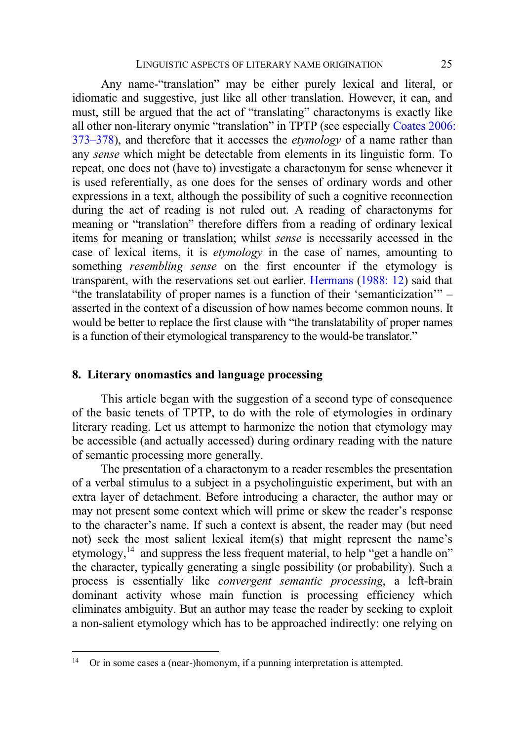Any name-"translation" may be either purely lexical and literal, or idiomatic and suggestive, just like all other translation. However, it can, and must, still be argued that the act of "translating" charactonyms is exactly like all other non-literary onymic "translation" in TPTP (see especially [Coates 2006:](#page-17-13)  373–[378\)](#page-17-13), and therefore that it accesses the *etymology* of a name rather than any *sense* which might be detectable from elements in its linguistic form. To repeat, one does not (have to) investigate a charactonym for sense whenever it is used referentially, as one does for the senses of ordinary words and other expressions in a text, although the possibility of such a cognitive reconnection during the act of reading is not ruled out. A reading of charactonyms for meaning or "translation" therefore differs from a reading of ordinary lexical items for meaning or translation; whilst *sense* is necessarily accessed in the case of lexical items, it is *etymology* in the case of names, amounting to something *resembling sense* on the first encounter if the etymology is transparent, with the reservations set out earlier. [Hermans](#page-19-12) [\(1988: 12\)](#page-19-12) said that "the translatability of proper names is a function of their 'semanticization'" – asserted in the context of a discussion of how names become common nouns. It would be better to replace the first clause with "the translatability of proper names is a function of their etymological transparency to the would-be translator."

# **8. Literary onomastics and language processing**

This article began with the suggestion of a second type of consequence of the basic tenets of TPTP, to do with the role of etymologies in ordinary literary reading. Let us attempt to harmonize the notion that etymology may be accessible (and actually accessed) during ordinary reading with the nature of semantic processing more generally.

The presentation of a charactonym to a reader resembles the presentation of a verbal stimulus to a subject in a psycholinguistic experiment, but with an extra layer of detachment. Before introducing a character, the author may or may not present some context which will prime or skew the reader's response to the character's name. If such a context is absent, the reader may (but need not) seek the most salient lexical item(s) that might represent the name's etymology,<sup>14</sup> and suppress the less frequent material, to help "get a handle on" the character, typically generating a single possibility (or probability). Such a process is essentially like *convergent semantic processing*, a left-brain dominant activity whose main function is processing efficiency which eliminates ambiguity. But an author may tease the reader by seeking to exploit a non-salient etymology which has to be approached indirectly: one relying on

<sup>&</sup>lt;sup>14</sup> Or in some cases a (near-)homonym, if a punning interpretation is attempted.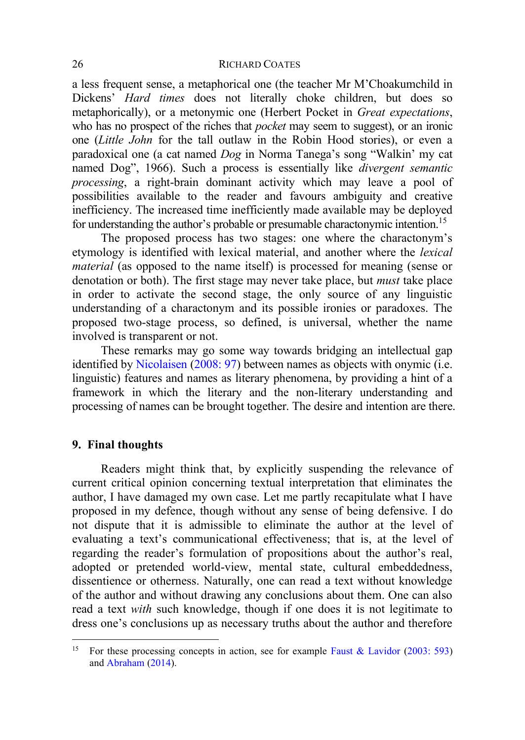a less frequent sense, a metaphorical one (the teacher Mr M'Choakumchild in Dickens' *Hard times* does not literally choke children, but does so metaphorically), or a metonymic one (Herbert Pocket in *Great expectations*, who has no prospect of the riches that *pocket* may seem to suggest), or an ironic one (*Little John* for the tall outlaw in the Robin Hood stories), or even a paradoxical one (a cat named *Dog* in Norma Tanega's song "Walkin' my cat named Dog", 1966). Such a process is essentially like *divergent semantic processing*, a right-brain dominant activity which may leave a pool of possibilities available to the reader and favours ambiguity and creative inefficiency. The increased time inefficiently made available may be deployed for understanding the author's probable or presumable charactonymic intention.<sup>15</sup>

The proposed process has two stages: one where the charactonym's etymology is identified with lexical material, and another where the *lexical material* (as opposed to the name itself) is processed for meaning (sense or denotation or both). The first stage may never take place, but *must* take place in order to activate the second stage, the only source of any linguistic understanding of a charactonym and its possible ironies or paradoxes. The proposed two-stage process, so defined, is universal, whether the name involved is transparent or not.

These remarks may go some way towards bridging an intellectual gap identified by [Nicolaisen](#page-20-0) [\(2008: 97\)](#page-20-0) between names as objects with onymic (i.e. linguistic) features and names as literary phenomena, by providing a hint of a framework in which the literary and the non-literary understanding and processing of names can be brought together. The desire and intention are there.

# **9. Final thoughts**

Readers might think that, by explicitly suspending the relevance of current critical opinion concerning textual interpretation that eliminates the author, I have damaged my own case. Let me partly recapitulate what I have proposed in my defence, though without any sense of being defensive. I do not dispute that it is admissible to eliminate the author at the level of evaluating a text's communicational effectiveness; that is, at the level of regarding the reader's formulation of propositions about the author's real, adopted or pretended world-view, mental state, cultural embeddedness, dissentience or otherness. Naturally, one can read a text without knowledge of the author and without drawing any conclusions about them. One can also read a text *with* such knowledge, though if one does it is not legitimate to dress one's conclusions up as necessary truths about the author and therefore

<sup>&</sup>lt;sup>15</sup> For these processing concepts in action, see for example [Faust & Lavidor](#page-18-11) [\(2003: 593\)](#page-18-11) and [Abraham](#page-17-16) [\(2014\)](#page-17-16).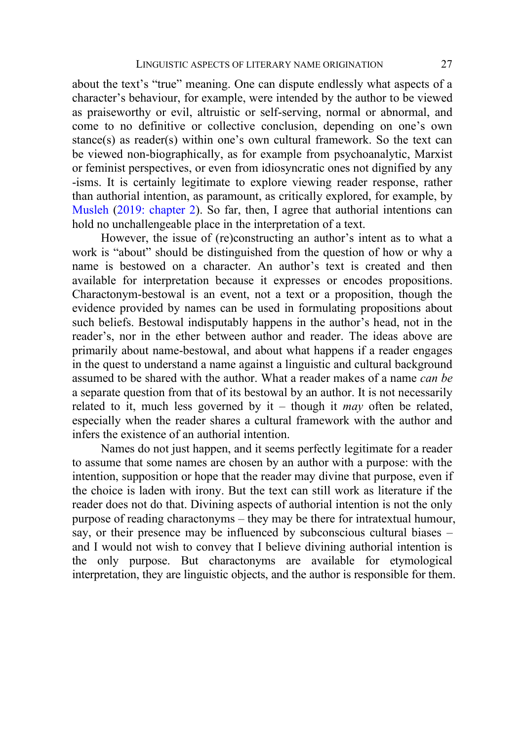about the text's "true" meaning. One can dispute endlessly what aspects of a character's behaviour, for example, were intended by the author to be viewed as praiseworthy or evil, altruistic or self-serving, normal or abnormal, and come to no definitive or collective conclusion, depending on one's own stance(s) as reader(s) within one's own cultural framework. So the text can be viewed non-biographically, as for example from psychoanalytic, Marxist or feminist perspectives, or even from idiosyncratic ones not dignified by any -isms. It is certainly legitimate to explore viewing reader response, rather than authorial intention, as paramount, as critically explored, for example, by [Musleh](#page-19-13) [\(2019: chapter 2\)](#page-19-13). So far, then, I agree that authorial intentions can hold no unchallengeable place in the interpretation of a text.

However, the issue of (re)constructing an author's intent as to what a work is "about" should be distinguished from the question of how or why a name is bestowed on a character. An author's text is created and then available for interpretation because it expresses or encodes propositions. Charactonym-bestowal is an event, not a text or a proposition, though the evidence provided by names can be used in formulating propositions about such beliefs. Bestowal indisputably happens in the author's head, not in the reader's, nor in the ether between author and reader. The ideas above are primarily about name-bestowal, and about what happens if a reader engages in the quest to understand a name against a linguistic and cultural background assumed to be shared with the author. What a reader makes of a name *can be* a separate question from that of its bestowal by an author. It is not necessarily related to it, much less governed by it – though it *may* often be related, especially when the reader shares a cultural framework with the author and infers the existence of an authorial intention.

Names do not just happen, and it seems perfectly legitimate for a reader to assume that some names are chosen by an author with a purpose: with the intention, supposition or hope that the reader may divine that purpose, even if the choice is laden with irony. But the text can still work as literature if the reader does not do that. Divining aspects of authorial intention is not the only purpose of reading charactonyms – they may be there for intratextual humour, say, or their presence may be influenced by subconscious cultural biases – and I would not wish to convey that I believe divining authorial intention is the only purpose. But charactonyms are available for etymological interpretation, they are linguistic objects, and the author is responsible for them.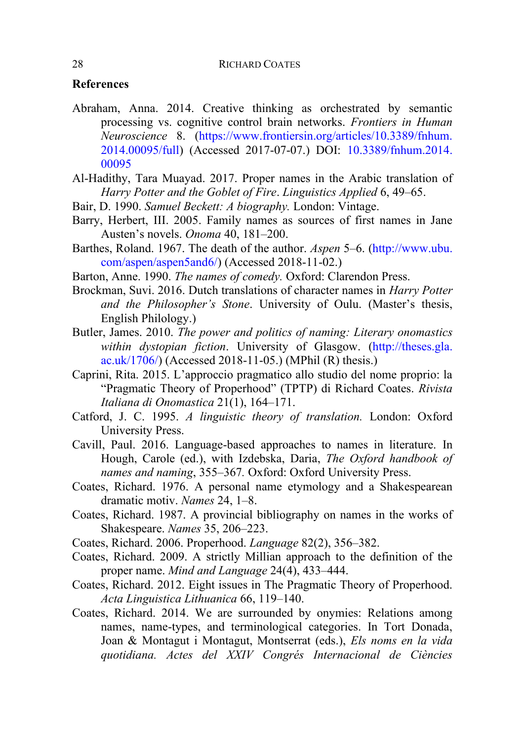# **References**

- <span id="page-17-16"></span>Abraham, Anna. 2014. Creative thinking as orchestrated by semantic processing vs. cognitive control brain networks. *Frontiers in Human Neuroscience* 8. [\(https://www.frontiersin.org/articles/10.3389/fnhum.](https://www.frontiersin.org/articles/10.3389/fnhum.2014.00095/full)  [2014.00095/full\)](https://www.frontiersin.org/articles/10.3389/fnhum.2014.00095/full) (Accessed 2017-07-07.) DOI: [10.3389/fnhum.2014.](https://www.frontiersin.org/articles/10.3389/fnhum.2014.00095/full)  [00095](https://www.frontiersin.org/articles/10.3389/fnhum.2014.00095/full)
- <span id="page-17-11"></span>Al-Hadithy, Tara Muayad. 2017. Proper names in the Arabic translation of *Harry Potter and the Goblet of Fire*. *Linguistics Applied* 6, 49–65.
- <span id="page-17-9"></span>Bair, D. 1990. *Samuel Beckett: A biography.* London: Vintage.
- <span id="page-17-8"></span>Barry, Herbert, III. 2005. Family names as sources of first names in Jane Austen's novels. *Onoma* 40, 181–200.
- <span id="page-17-3"></span>Barthes, Roland. 1967. The death of the author. *Aspen* 5–6. [\(http://www.ubu.](http://www.ubu.com/aspen/aspen5and6/)  [com/aspen/aspen5and6/\)](http://www.ubu.com/aspen/aspen5and6/) (Accessed 2018-11-02.)
- <span id="page-17-14"></span>Barton, Anne. 1990. *The names of comedy.* Oxford: Clarendon Press.
- <span id="page-17-10"></span>Brockman, Suvi. 2016. Dutch translations of character names in *Harry Potter and the Philosopher's Stone*. University of Oulu. (Master's thesis, English Philology.)
- <span id="page-17-2"></span>Butler, James. 2010. *The power and politics of naming: Literary onomastics within dystopian fiction*. University of Glasgow. [\(http://theses.gla.](http://theses.gla.ac.uk/1706/)  [ac.uk/1706/\)](http://theses.gla.ac.uk/1706/) (Accessed 2018-11-05.) (MPhil (R) thesis.)
- <span id="page-17-5"></span>Caprini, Rita. 2015. L'approccio pragmatico allo studio del nome proprio: la "Pragmatic Theory of Properhood" (TPTP) di Richard Coates. *Rivista Italiana di Onomastica* 21(1), 164–171.
- <span id="page-17-12"></span>Catford, J. C. 1995. *A linguistic theory of translation.* London: Oxford University Press.
- <span id="page-17-4"></span>Cavill, Paul. 2016. Language-based approaches to names in literature. In Hough, Carole (ed.), with Izdebska, Daria, *The Oxford handbook of names and naming*, 355–367*.* Oxford: Oxford University Press.
- <span id="page-17-1"></span>Coates, Richard. 1976. A personal name etymology and a Shakespearean dramatic motiv. *Names* 24, 1–8.
- <span id="page-17-0"></span>Coates, Richard. 1987. A provincial bibliography on names in the works of Shakespeare. *Names* 35, 206–223.
- <span id="page-17-13"></span>Coates, Richard. 2006. Properhood. *Language* 82(2), 356–382.
- <span id="page-17-6"></span>Coates, Richard. 2009. A strictly Millian approach to the definition of the proper name. *Mind and Language* 24(4), 433–444.
- <span id="page-17-15"></span>Coates, Richard. 2012. Eight issues in The Pragmatic Theory of Properhood. *Acta Linguistica Lithuanica* 66, 119–140.
- <span id="page-17-7"></span>Coates, Richard. 2014. We are surrounded by onymies: Relations among names, name-types, and terminological categories. In Tort Donada, Joan & Montagut i Montagut, Montserrat (eds.), *Els noms en la vida quotidiana. Actes del XXIV Congrés Internacional de Ciències*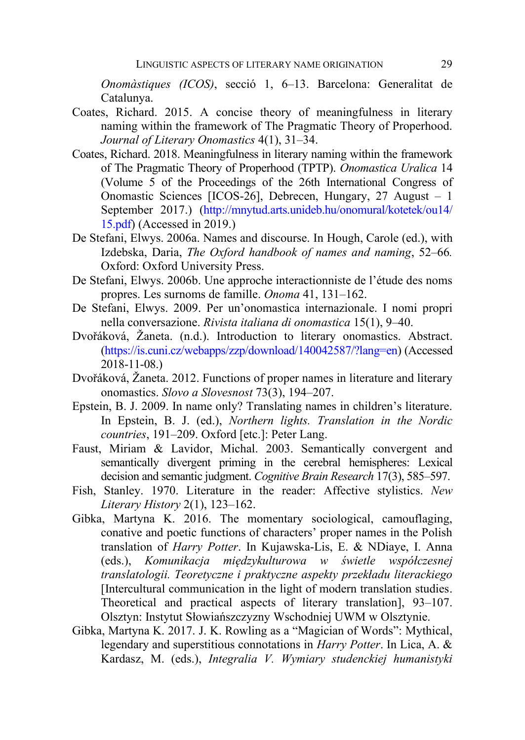*Onomàstiques (ICOS)*, secció 1, 6–13. Barcelona: Generalitat de Catalunya.

- <span id="page-18-7"></span>Coates, Richard. 2015. A concise theory of meaningfulness in literary naming within the framework of The Pragmatic Theory of Properhood. *Journal of Literary Onomastics* 4(1), 31–34.
- <span id="page-18-8"></span>Coates, Richard. 2018. Meaningfulness in literary naming within the framework of The Pragmatic Theory of Properhood (TPTP). *Onomastica Uralica* 14 (Volume 5 of the Proceedings of the 26th International Congress of Onomastic Sciences [ICOS-26], Debrecen, Hungary, 27 August – 1 September 2017.) [\(http://mnytud.arts.unideb.hu/onomural/kotetek/ou14/](http://mnytud.arts.unideb.hu/onomural/kotetek/ou14/15.pdf)  [15.pdf\)](http://mnytud.arts.unideb.hu/onomural/kotetek/ou14/15.pdf) (Accessed in 2019.)
- <span id="page-18-1"></span>De Stefani, Elwys. 2006a. Names and discourse. In Hough, Carole (ed.), with Izdebska, Daria, *The Oxford handbook of names and naming*, 52–66*.* Oxford: Oxford University Press.
- <span id="page-18-2"></span>De Stefani, Elwys. 2006b. Une approche interactionniste de l'étude des noms propres. Les surnoms de famille. *Onoma* 41, 131–162.
- <span id="page-18-3"></span>De Stefani, Elwys. 2009. Per un'onomastica internazionale. I nomi propri nella conversazione. *Rivista italiana di onomastica* 15(1), 9–40.
- <span id="page-18-5"></span>Dvořáková, Žaneta. (n.d.). Introduction to literary onomastics. Abstract. [\(https://is.cuni.cz/webapps/zzp/download/140042587/?lang=en\)](https://is.cuni.cz/webapps/zzp/download/140042587/?lang=en) (Accessed 2018-11-08.)
- <span id="page-18-6"></span>Dvořáková, Žaneta. 2012. Functions of proper names in literature and literary onomastics. *Slovo a Slovesnost* 73(3), 194–207.
- <span id="page-18-10"></span>Epstein, B. J. 2009. In name only? Translating names in children's literature. In Epstein, B. J. (ed.), *Northern lights. Translation in the Nordic countries*, 191–209. Oxford [etc.]: Peter Lang.
- <span id="page-18-11"></span>Faust, Miriam & Lavidor, Michal. 2003. Semantically convergent and semantically divergent priming in the cerebral hemispheres: Lexical decision and semantic judgment. *Cognitive Brain Research* 17(3), 585–597.
- <span id="page-18-0"></span>Fish, Stanley. 1970. Literature in the reader: Affective stylistics. *New Literary History* 2(1), 123–162.
- <span id="page-18-4"></span>Gibka, Martyna K. 2016. The momentary sociological, camouflaging, conative and poetic functions of characters' proper names in the Polish translation of *Harry Potter*. In Kujawska-Lis, E. & NDiaye, I. Anna (eds.), *Komunikacja międzykulturowa w świetle współczesnej translatologii. Teoretyczne i praktyczne aspekty przekładu literackiego* [Intercultural communication in the light of modern translation studies. Theoretical and practical aspects of literary translation], 93–107. Olsztyn: Instytut Słowiańszczyzny Wschodniej UWM w Olsztynie.
- <span id="page-18-9"></span>Gibka, Martyna K. 2017. J. K. Rowling as a "Magician of Words": Mythical, legendary and superstitious connotations in *Harry Potter*. In Lica, A. & Kardasz, M. (eds.), *Integralia V. Wymiary studenckiej humanistyki*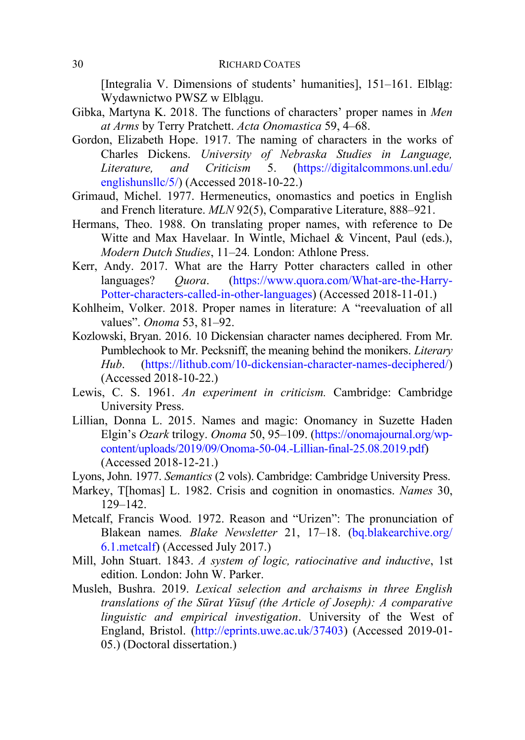[Integralia V. Dimensions of students' humanities], 151–161. Elbląg: Wydawnictwo PWSZ w Elblągu.

- <span id="page-19-3"></span>Gibka, Martyna K. 2018. The functions of characters' proper names in *Men at Arms* by Terry Pratchett. *Acta Onomastica* 59, 4–68.
- <span id="page-19-10"></span>Gordon, Elizabeth Hope. 1917. The naming of characters in the works of Charles Dickens. *University of Nebraska Studies in Language, Literature, and Criticism* 5. [\(https://digitalcommons.unl.edu/](https://digitalcommons.unl.edu/englishunsllc/5/)  [englishunsllc/5/\)](https://digitalcommons.unl.edu/englishunsllc/5/) (Accessed 2018-10-22.)
- <span id="page-19-0"></span>Grimaud, Michel. 1977. Hermeneutics, onomastics and poetics in English and French literature. *MLN* 92(5), Comparative Literature, 888–921.
- <span id="page-19-12"></span>Hermans, Theo. 1988. On translating proper names, with reference to De Witte and Max Havelaar. In Wintle, Michael & Vincent, Paul (eds.), *Modern Dutch Studies*, 11–24*.* London: Athlone Press.
- <span id="page-19-11"></span>Kerr, Andy. 2017. What are the Harry Potter characters called in other languages? *Quora*. [\(https://www.quora.com/What-are-the-Harry-](https://www.quora.com/What-are-the-Harry-Potter-characters-called-in-other-languages)[Potter-characters-called-in-other-languages\)](https://www.quora.com/What-are-the-Harry-Potter-characters-called-in-other-languages) (Accessed 2018-11-01.)
- <span id="page-19-4"></span>Kohlheim, Volker. 2018. Proper names in literature: A "reevaluation of all values". *Onoma* 53, 81–92.
- <span id="page-19-9"></span>Kozlowski, Bryan. 2016. 10 Dickensian character names deciphered. From Mr. Pumblechook to Mr. Pecksniff, the meaning behind the monikers. *Literary Hub*. [\(https://lithub.com/10-dickensian-character-names-deciphered/\)](https://lithub.com/10-dickensian-character-names-deciphered/) (Accessed 2018-10-22.)
- <span id="page-19-2"></span>Lewis, C. S. 1961. *An experiment in criticism.* Cambridge: Cambridge University Press.
- <span id="page-19-5"></span>Lillian, Donna L. 2015. Names and magic: Onomancy in Suzette Haden Elgin's *Ozark* trilogy. *Onoma* 50, 95–109. [\(https://onomajournal.org/wp](https://onomajournal.org/wp-content/uploads/2019/09/Onoma-50-04.-Lillian-final-25.08.2019.pdf)[content/uploads/2019/09/Onoma-50-04.-Lillian-final-25.08.2019.pdf\)](https://onomajournal.org/wp-content/uploads/2019/09/Onoma-50-04.-Lillian-final-25.08.2019.pdf) (Accessed 2018-12-21.)
- <span id="page-19-7"></span>Lyons, John. 1977. *Semantics* (2 vols). Cambridge: Cambridge University Press.
- <span id="page-19-1"></span>Markey, T[homas] L. 1982. Crisis and cognition in onomastics. *Names* 30, 129–142.
- <span id="page-19-8"></span>Metcalf, Francis Wood. 1972. Reason and "Urizen": The pronunciation of Blakean names*. Blake Newsletter* 21, 17–18. [\(bq.blakearchive.org/](http://bq.blakearchive.org/6.1.metcalf)  [6.1.metcalf\)](http://bq.blakearchive.org/6.1.metcalf) (Accessed July 2017.)
- <span id="page-19-6"></span>Mill, John Stuart. 1843. *A system of logic, ratiocinative and inductive*, 1st edition. London: John W. Parker.
- <span id="page-19-13"></span>Musleh, Bushra. 2019. *Lexical selection and archaisms in three English translations of the Sūrat Yūsuf (the Article of Joseph): A comparative linguistic and empirical investigation*. University of the West of England, Bristol. [\(http://eprints.uwe.ac.uk/37403\)](http://eprints.uwe.ac.uk/37403) (Accessed 2019-01- 05.) (Doctoral dissertation.)